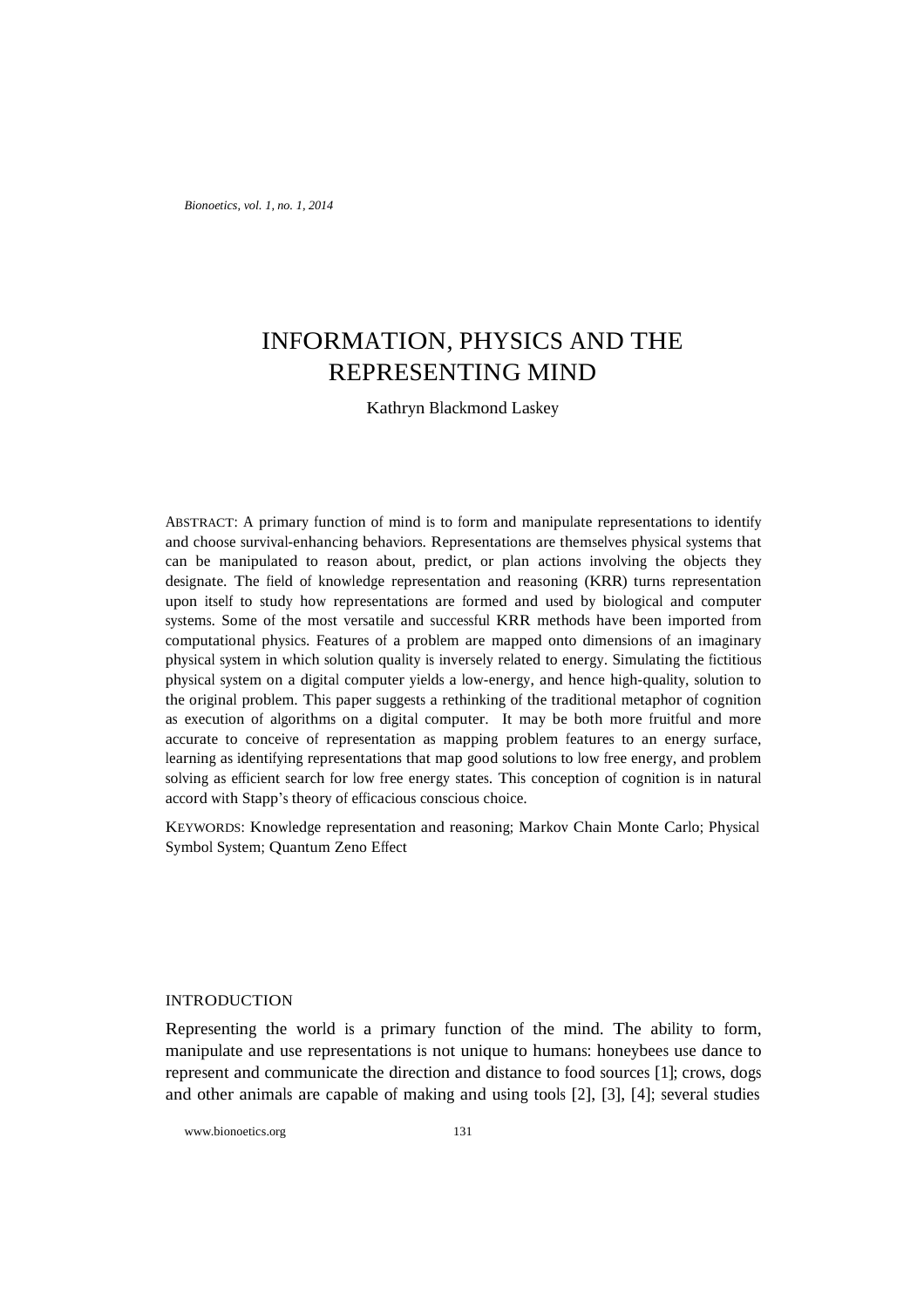*Bionoetics, vol. 1, no. 1, 2014*

# INFORMATION, PHYSICS AND THE REPRESENTING MIND

Kathryn Blackmond Laskey

ABSTRACT: A primary function of mind is to form and manipulate representations to identify and choose survival-enhancing behaviors. Representations are themselves physical systems that can be manipulated to reason about, predict, or plan actions involving the objects they designate. The field of knowledge representation and reasoning (KRR) turns representation upon itself to study how representations are formed and used by biological and computer systems. Some of the most versatile and successful KRR methods have been imported from computational physics. Features of a problem are mapped onto dimensions of an imaginary physical system in which solution quality is inversely related to energy. Simulating the fictitious physical system on a digital computer yields a low-energy, and hence high-quality, solution to the original problem. This paper suggests a rethinking of the traditional metaphor of cognition as execution of algorithms on a digital computer. It may be both more fruitful and more accurate to conceive of representation as mapping problem features to an energy surface, learning as identifying representations that map good solutions to low free energy, and problem solving as efficient search for low free energy states. This conception of cognition is in natural accord with Stapp's theory of efficacious conscious choice.

KEYWORDS: Knowledge representation and reasoning; Markov Chain Monte Carlo; Physical Symbol System; Quantum Zeno Effect

### **INTRODUCTION**

Representing the world is a primary function of the mind. The ability to form, manipulate and use representations is not unique to humans: honeybees use dance to represent and communicate the direction and distance to food sources [1]; crows, dogs and other animals are capable of making and using tools [2], [3], [4]; several studies

www.bionoetics.org 131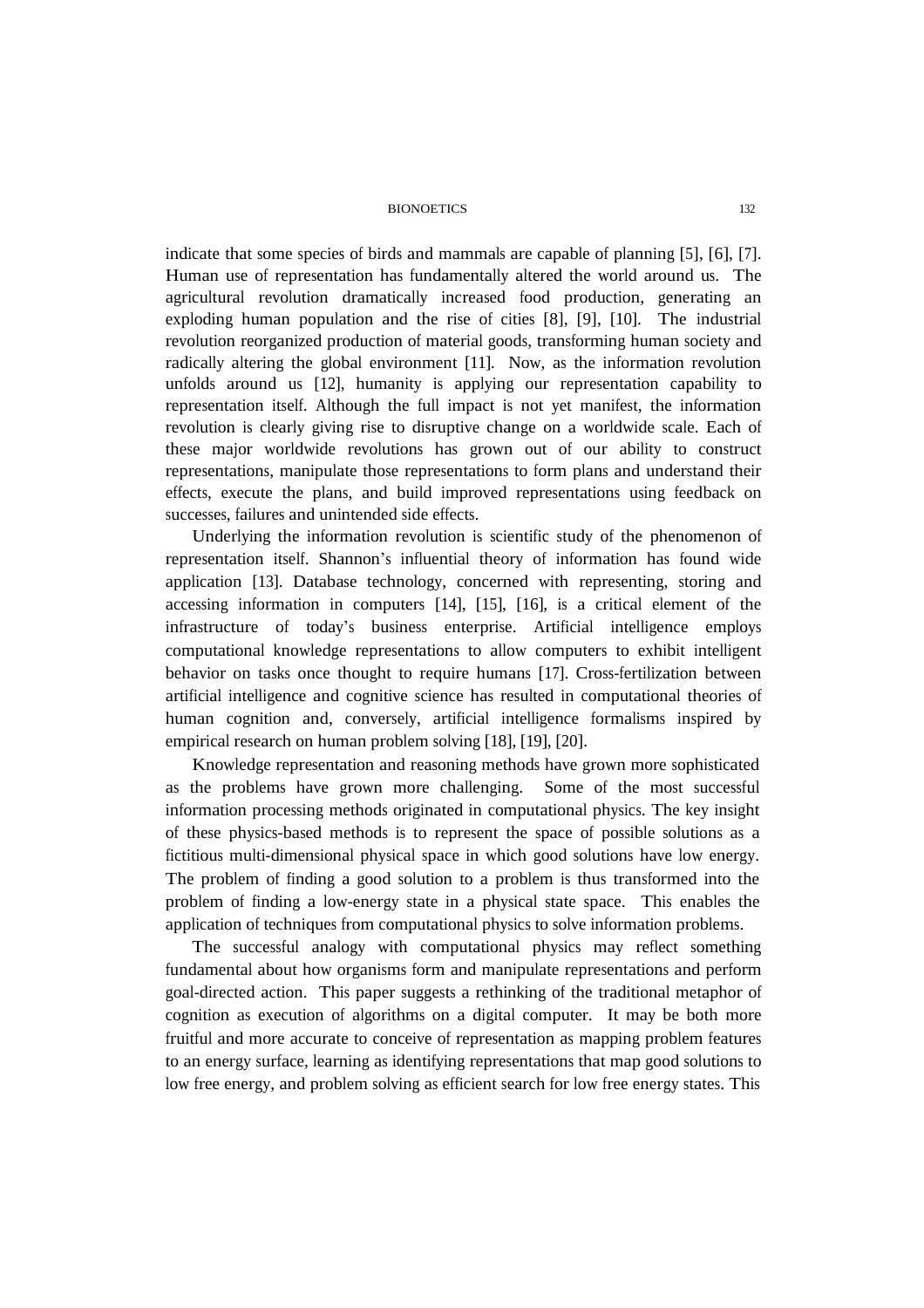indicate that some species of birds and mammals are capable of planning [5], [6], [7]. Human use of representation has fundamentally altered the world around us. The agricultural revolution dramatically increased food production, generating an exploding human population and the rise of cities [8], [9], [10]. The industrial revolution reorganized production of material goods, transforming human society and radically altering the global environment [11]. Now, as the information revolution unfolds around us [12], humanity is applying our representation capability to representation itself. Although the full impact is not yet manifest, the information revolution is clearly giving rise to disruptive change on a worldwide scale. Each of these major worldwide revolutions has grown out of our ability to construct representations, manipulate those representations to form plans and understand their effects, execute the plans, and build improved representations using feedback on successes, failures and unintended side effects.

Underlying the information revolution is scientific study of the phenomenon of representation itself. Shannon's influential theory of information has found wide application [13]. Database technology, concerned with representing, storing and accessing information in computers [14], [15], [16], is a critical element of the infrastructure of today's business enterprise. Artificial intelligence employs computational knowledge representations to allow computers to exhibit intelligent behavior on tasks once thought to require humans [17]. Cross-fertilization between artificial intelligence and cognitive science has resulted in computational theories of human cognition and, conversely, artificial intelligence formalisms inspired by empirical research on human problem solving [18], [19], [20].

Knowledge representation and reasoning methods have grown more sophisticated as the problems have grown more challenging. Some of the most successful information processing methods originated in computational physics. The key insight of these physics-based methods is to represent the space of possible solutions as a fictitious multi-dimensional physical space in which good solutions have low energy. The problem of finding a good solution to a problem is thus transformed into the problem of finding a low-energy state in a physical state space. This enables the application of techniques from computational physics to solve information problems.

The successful analogy with computational physics may reflect something fundamental about how organisms form and manipulate representations and perform goal-directed action. This paper suggests a rethinking of the traditional metaphor of cognition as execution of algorithms on a digital computer. It may be both more fruitful and more accurate to conceive of representation as mapping problem features to an energy surface, learning as identifying representations that map good solutions to low free energy, and problem solving as efficient search for low free energy states. This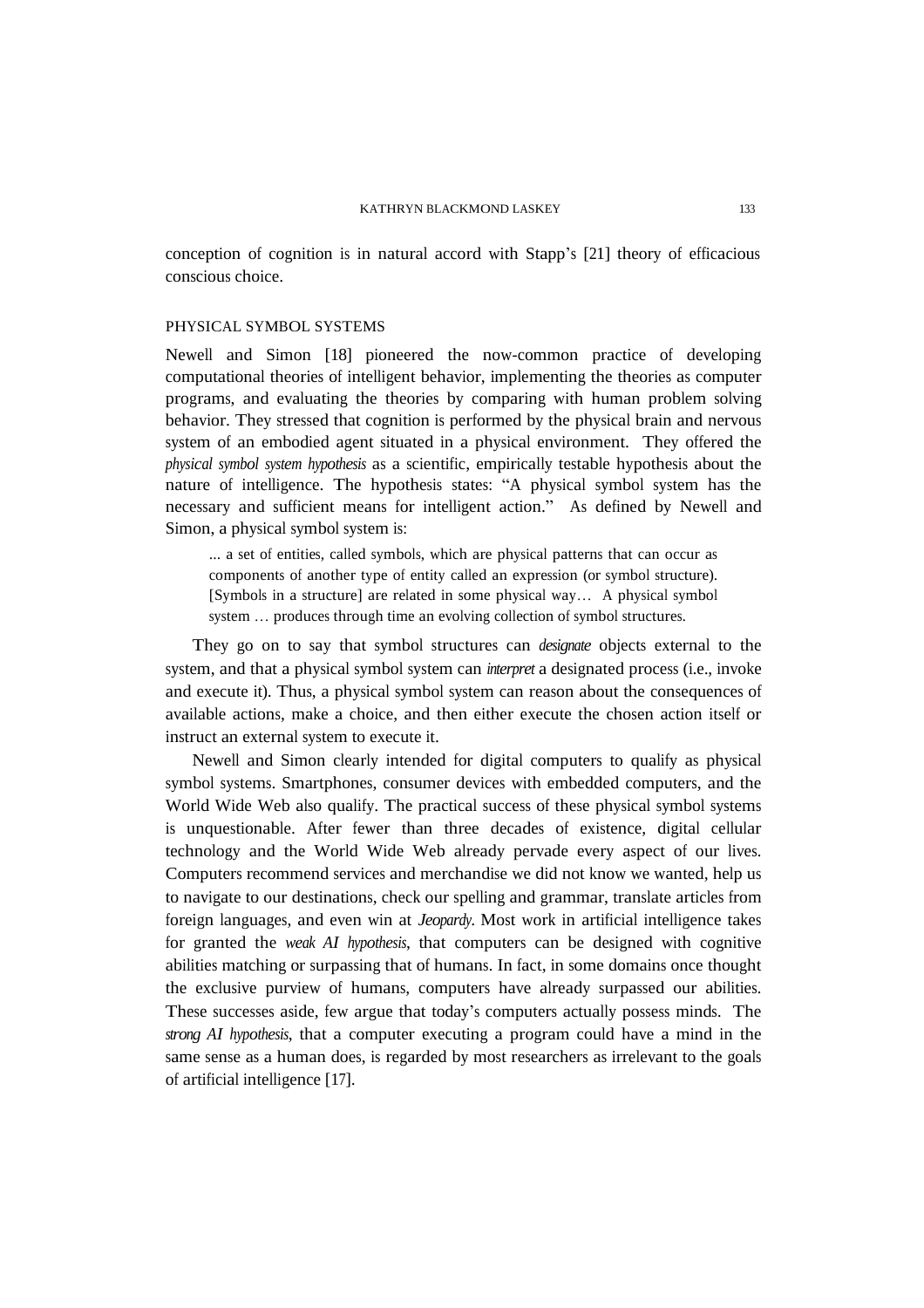conception of cognition is in natural accord with Stapp's [21] theory of efficacious conscious choice.

## PHYSICAL SYMBOL SYSTEMS

Newell and Simon [18] pioneered the now-common practice of developing computational theories of intelligent behavior, implementing the theories as computer programs, and evaluating the theories by comparing with human problem solving behavior. They stressed that cognition is performed by the physical brain and nervous system of an embodied agent situated in a physical environment. They offered the *physical symbol system hypothesis* as a scientific, empirically testable hypothesis about the nature of intelligence. The hypothesis states: "A physical symbol system has the necessary and sufficient means for intelligent action." As defined by Newell and Simon, a physical symbol system is:

... a set of entities, called symbols, which are physical patterns that can occur as components of another type of entity called an expression (or symbol structure). [Symbols in a structure] are related in some physical way… A physical symbol system … produces through time an evolving collection of symbol structures.

They go on to say that symbol structures can *designate* objects external to the system, and that a physical symbol system can *interpret* a designated process (i.e., invoke and execute it). Thus, a physical symbol system can reason about the consequences of available actions, make a choice, and then either execute the chosen action itself or instruct an external system to execute it.

Newell and Simon clearly intended for digital computers to qualify as physical symbol systems. Smartphones, consumer devices with embedded computers, and the World Wide Web also qualify. The practical success of these physical symbol systems is unquestionable. After fewer than three decades of existence, digital cellular technology and the World Wide Web already pervade every aspect of our lives. Computers recommend services and merchandise we did not know we wanted, help us to navigate to our destinations, check our spelling and grammar, translate articles from foreign languages, and even win at *Jeopardy*. Most work in artificial intelligence takes for granted the *weak AI hypothesis*, that computers can be designed with cognitive abilities matching or surpassing that of humans. In fact, in some domains once thought the exclusive purview of humans, computers have already surpassed our abilities. These successes aside, few argue that today's computers actually possess minds. The *strong AI hypothesis*, that a computer executing a program could have a mind in the same sense as a human does, is regarded by most researchers as irrelevant to the goals of artificial intelligence [17].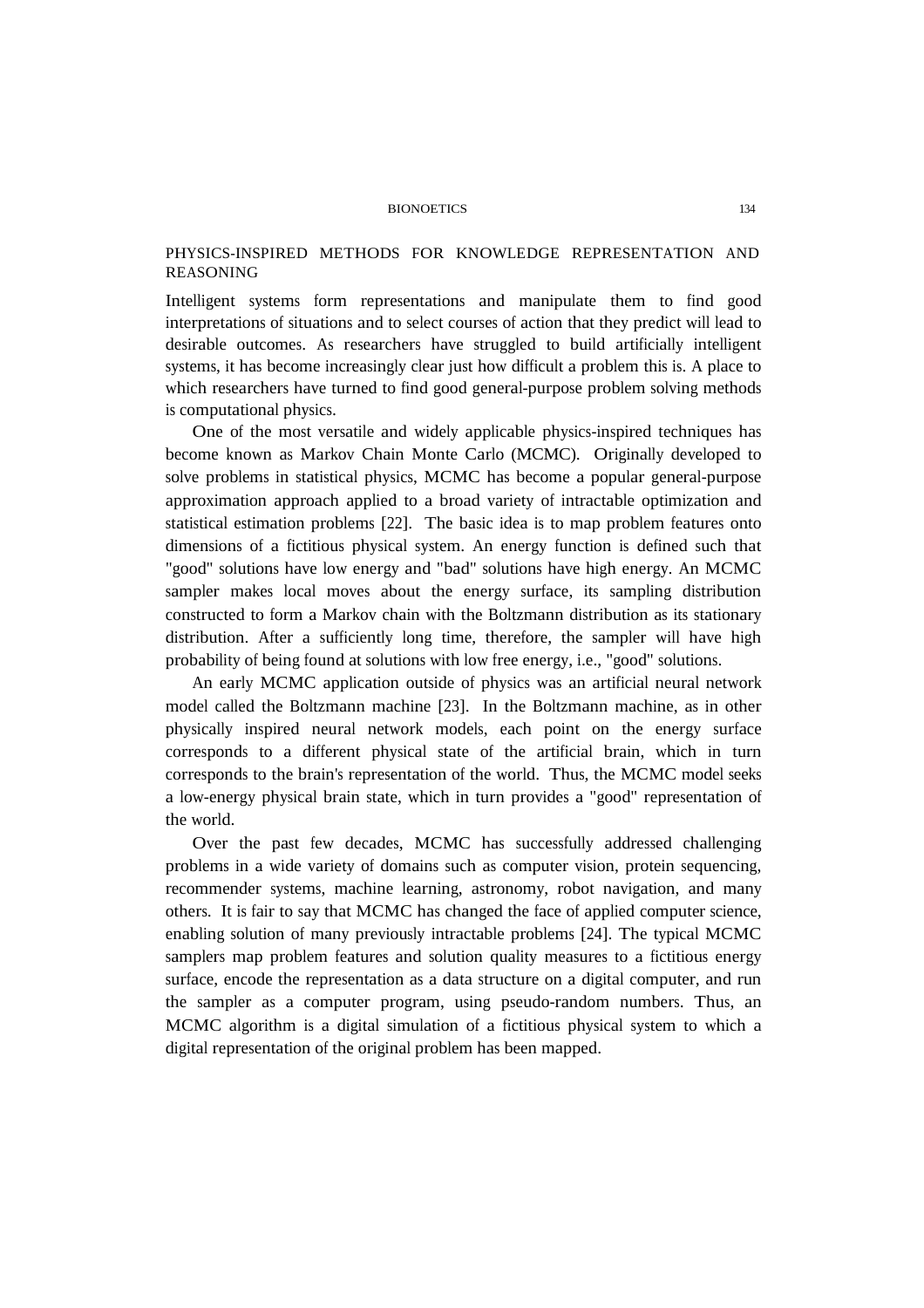## PHYSICS-INSPIRED METHODS FOR KNOWLEDGE REPRESENTATION AND REASONING

Intelligent systems form representations and manipulate them to find good interpretations of situations and to select courses of action that they predict will lead to desirable outcomes. As researchers have struggled to build artificially intelligent systems, it has become increasingly clear just how difficult a problem this is. A place to which researchers have turned to find good general-purpose problem solving methods is computational physics.

One of the most versatile and widely applicable physics-inspired techniques has become known as Markov Chain Monte Carlo (MCMC). Originally developed to solve problems in statistical physics, MCMC has become a popular general-purpose approximation approach applied to a broad variety of intractable optimization and statistical estimation problems [22]. The basic idea is to map problem features onto dimensions of a fictitious physical system. An energy function is defined such that "good" solutions have low energy and "bad" solutions have high energy. An MCMC sampler makes local moves about the energy surface, its sampling distribution constructed to form a Markov chain with the Boltzmann distribution as its stationary distribution. After a sufficiently long time, therefore, the sampler will have high probability of being found at solutions with low free energy, i.e., "good" solutions.

An early MCMC application outside of physics was an artificial neural network model called the Boltzmann machine [23]. In the Boltzmann machine, as in other physically inspired neural network models, each point on the energy surface corresponds to a different physical state of the artificial brain, which in turn corresponds to the brain's representation of the world. Thus, the MCMC model seeks a low-energy physical brain state, which in turn provides a "good" representation of the world.

Over the past few decades, MCMC has successfully addressed challenging problems in a wide variety of domains such as computer vision, protein sequencing, recommender systems, machine learning, astronomy, robot navigation, and many others. It is fair to say that MCMC has changed the face of applied computer science, enabling solution of many previously intractable problems [24]. The typical MCMC samplers map problem features and solution quality measures to a fictitious energy surface, encode the representation as a data structure on a digital computer, and run the sampler as a computer program, using pseudo-random numbers. Thus, an MCMC algorithm is a digital simulation of a fictitious physical system to which a digital representation of the original problem has been mapped.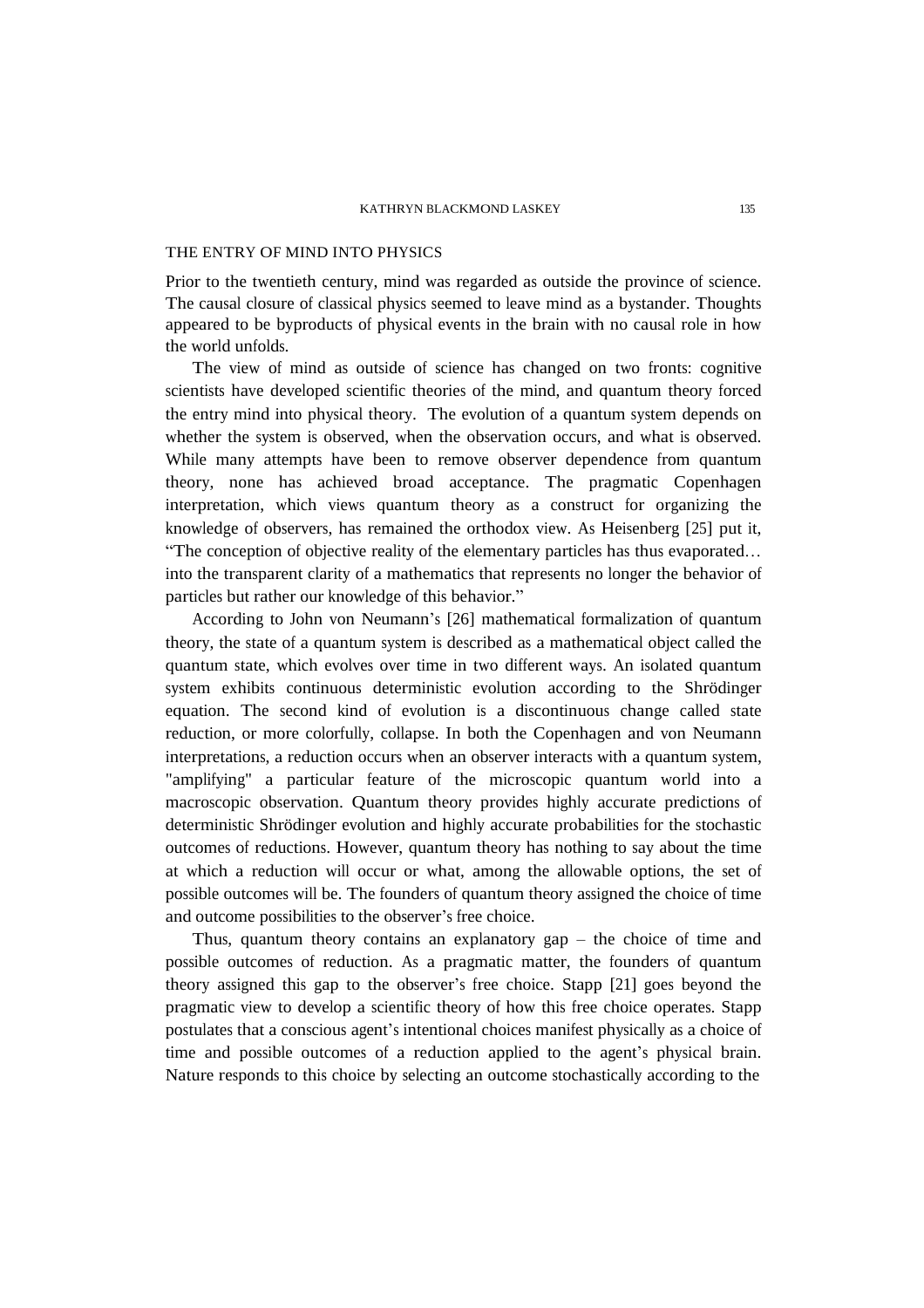## THE ENTRY OF MIND INTO PHYSICS

Prior to the twentieth century, mind was regarded as outside the province of science. The causal closure of classical physics seemed to leave mind as a bystander. Thoughts appeared to be byproducts of physical events in the brain with no causal role in how the world unfolds.

The view of mind as outside of science has changed on two fronts: cognitive scientists have developed scientific theories of the mind, and quantum theory forced the entry mind into physical theory. The evolution of a quantum system depends on whether the system is observed, when the observation occurs, and what is observed. While many attempts have been to remove observer dependence from quantum theory, none has achieved broad acceptance. The pragmatic Copenhagen interpretation, which views quantum theory as a construct for organizing the knowledge of observers, has remained the orthodox view. As Heisenberg [25] put it, "The conception of objective reality of the elementary particles has thus evaporated… into the transparent clarity of a mathematics that represents no longer the behavior of particles but rather our knowledge of this behavior."

According to John von Neumann's [26] mathematical formalization of quantum theory, the state of a quantum system is described as a mathematical object called the quantum state, which evolves over time in two different ways. An isolated quantum system exhibits continuous deterministic evolution according to the Shrödinger equation. The second kind of evolution is a discontinuous change called state reduction, or more colorfully, collapse. In both the Copenhagen and von Neumann interpretations, a reduction occurs when an observer interacts with a quantum system, "amplifying" a particular feature of the microscopic quantum world into a macroscopic observation. Quantum theory provides highly accurate predictions of deterministic Shrödinger evolution and highly accurate probabilities for the stochastic outcomes of reductions. However, quantum theory has nothing to say about the time at which a reduction will occur or what, among the allowable options, the set of possible outcomes will be. The founders of quantum theory assigned the choice of time and outcome possibilities to the observer's free choice.

Thus, quantum theory contains an explanatory gap – the choice of time and possible outcomes of reduction. As a pragmatic matter, the founders of quantum theory assigned this gap to the observer's free choice. Stapp [21] goes beyond the pragmatic view to develop a scientific theory of how this free choice operates. Stapp postulates that a conscious agent's intentional choices manifest physically as a choice of time and possible outcomes of a reduction applied to the agent's physical brain. Nature responds to this choice by selecting an outcome stochastically according to the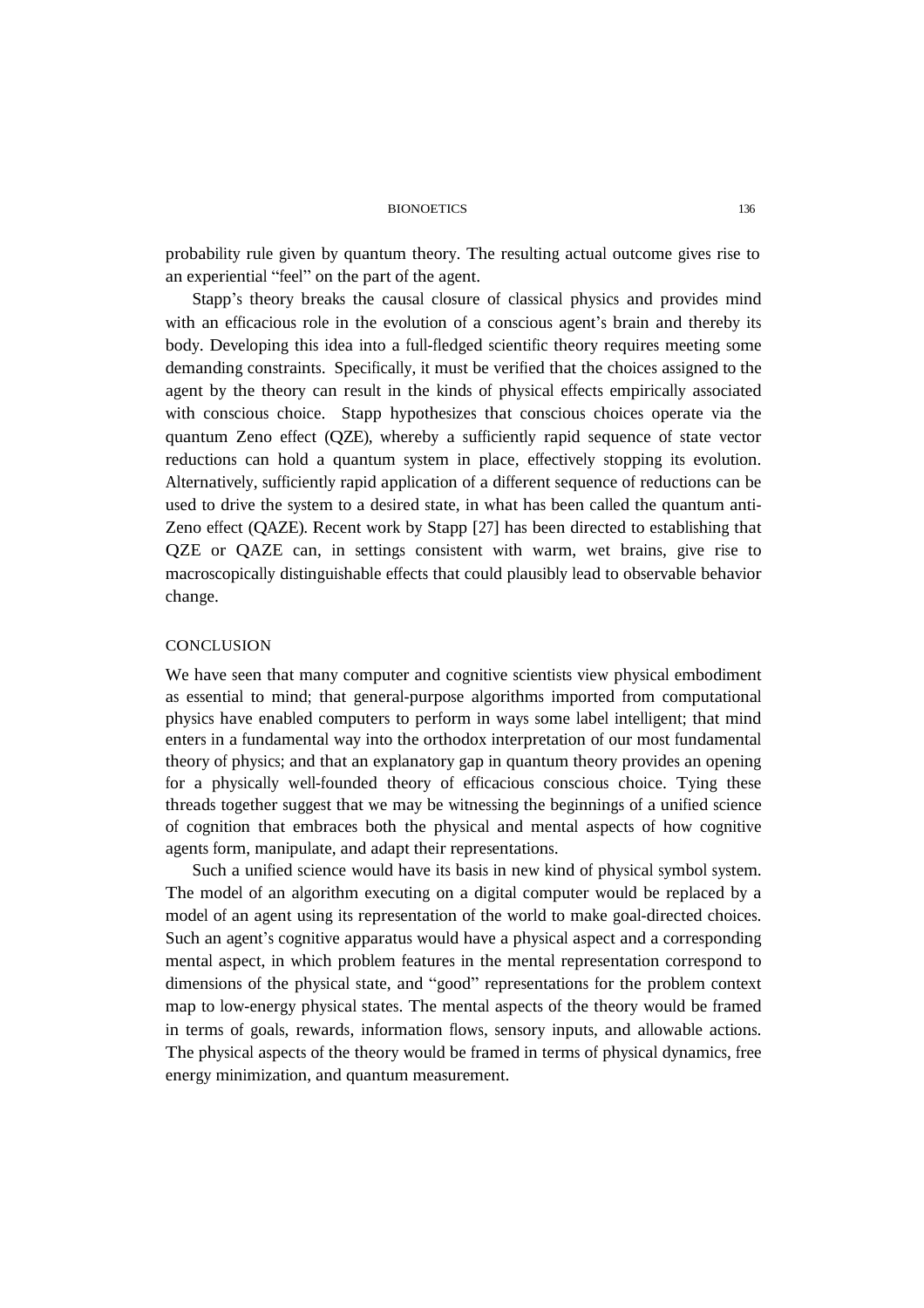probability rule given by quantum theory. The resulting actual outcome gives rise to an experiential "feel" on the part of the agent.

Stapp's theory breaks the causal closure of classical physics and provides mind with an efficacious role in the evolution of a conscious agent's brain and thereby its body. Developing this idea into a full-fledged scientific theory requires meeting some demanding constraints. Specifically, it must be verified that the choices assigned to the agent by the theory can result in the kinds of physical effects empirically associated with conscious choice. Stapp hypothesizes that conscious choices operate via the quantum Zeno effect (QZE), whereby a sufficiently rapid sequence of state vector reductions can hold a quantum system in place, effectively stopping its evolution. Alternatively, sufficiently rapid application of a different sequence of reductions can be used to drive the system to a desired state, in what has been called the quantum anti-Zeno effect (QAZE). Recent work by Stapp [27] has been directed to establishing that QZE or QAZE can, in settings consistent with warm, wet brains, give rise to macroscopically distinguishable effects that could plausibly lead to observable behavior change.

## **CONCLUSION**

We have seen that many computer and cognitive scientists view physical embodiment as essential to mind; that general-purpose algorithms imported from computational physics have enabled computers to perform in ways some label intelligent; that mind enters in a fundamental way into the orthodox interpretation of our most fundamental theory of physics; and that an explanatory gap in quantum theory provides an opening for a physically well-founded theory of efficacious conscious choice. Tying these threads together suggest that we may be witnessing the beginnings of a unified science of cognition that embraces both the physical and mental aspects of how cognitive agents form, manipulate, and adapt their representations.

Such a unified science would have its basis in new kind of physical symbol system. The model of an algorithm executing on a digital computer would be replaced by a model of an agent using its representation of the world to make goal-directed choices. Such an agent's cognitive apparatus would have a physical aspect and a corresponding mental aspect, in which problem features in the mental representation correspond to dimensions of the physical state, and "good" representations for the problem context map to low-energy physical states. The mental aspects of the theory would be framed in terms of goals, rewards, information flows, sensory inputs, and allowable actions. The physical aspects of the theory would be framed in terms of physical dynamics, free energy minimization, and quantum measurement.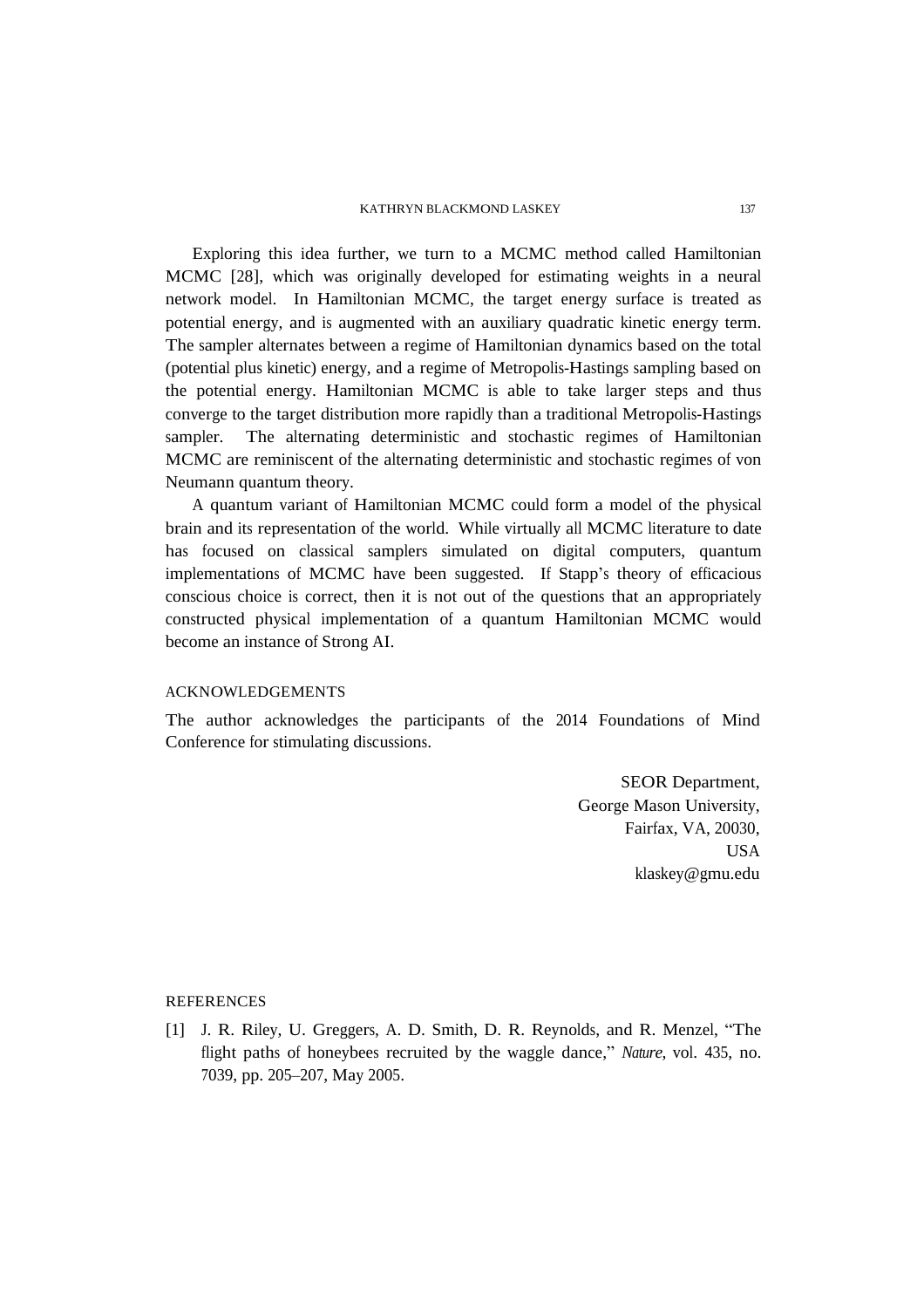#### KATHRYN BLACKMOND LASKEY 137

Exploring this idea further, we turn to a MCMC method called Hamiltonian MCMC [28], which was originally developed for estimating weights in a neural network model. In Hamiltonian MCMC, the target energy surface is treated as potential energy, and is augmented with an auxiliary quadratic kinetic energy term. The sampler alternates between a regime of Hamiltonian dynamics based on the total (potential plus kinetic) energy, and a regime of Metropolis-Hastings sampling based on the potential energy. Hamiltonian MCMC is able to take larger steps and thus converge to the target distribution more rapidly than a traditional Metropolis-Hastings sampler. The alternating deterministic and stochastic regimes of Hamiltonian MCMC are reminiscent of the alternating deterministic and stochastic regimes of von Neumann quantum theory.

A quantum variant of Hamiltonian MCMC could form a model of the physical brain and its representation of the world. While virtually all MCMC literature to date has focused on classical samplers simulated on digital computers, quantum implementations of MCMC have been suggested. If Stapp's theory of efficacious conscious choice is correct, then it is not out of the questions that an appropriately constructed physical implementation of a quantum Hamiltonian MCMC would become an instance of Strong AI.

# ACKNOWLEDGEMENTS

The author acknowledges the participants of the 2014 Foundations of Mind Conference for stimulating discussions.

> SEOR Department, George Mason University, Fairfax, VA, 20030, USA klaskey@gmu.edu

## **REFERENCES**

[1] J. R. Riley, U. Greggers, A. D. Smith, D. R. Reynolds, and R. Menzel, "The flight paths of honeybees recruited by the waggle dance," *Nature*, vol. 435, no. 7039, pp. 205–207, May 2005.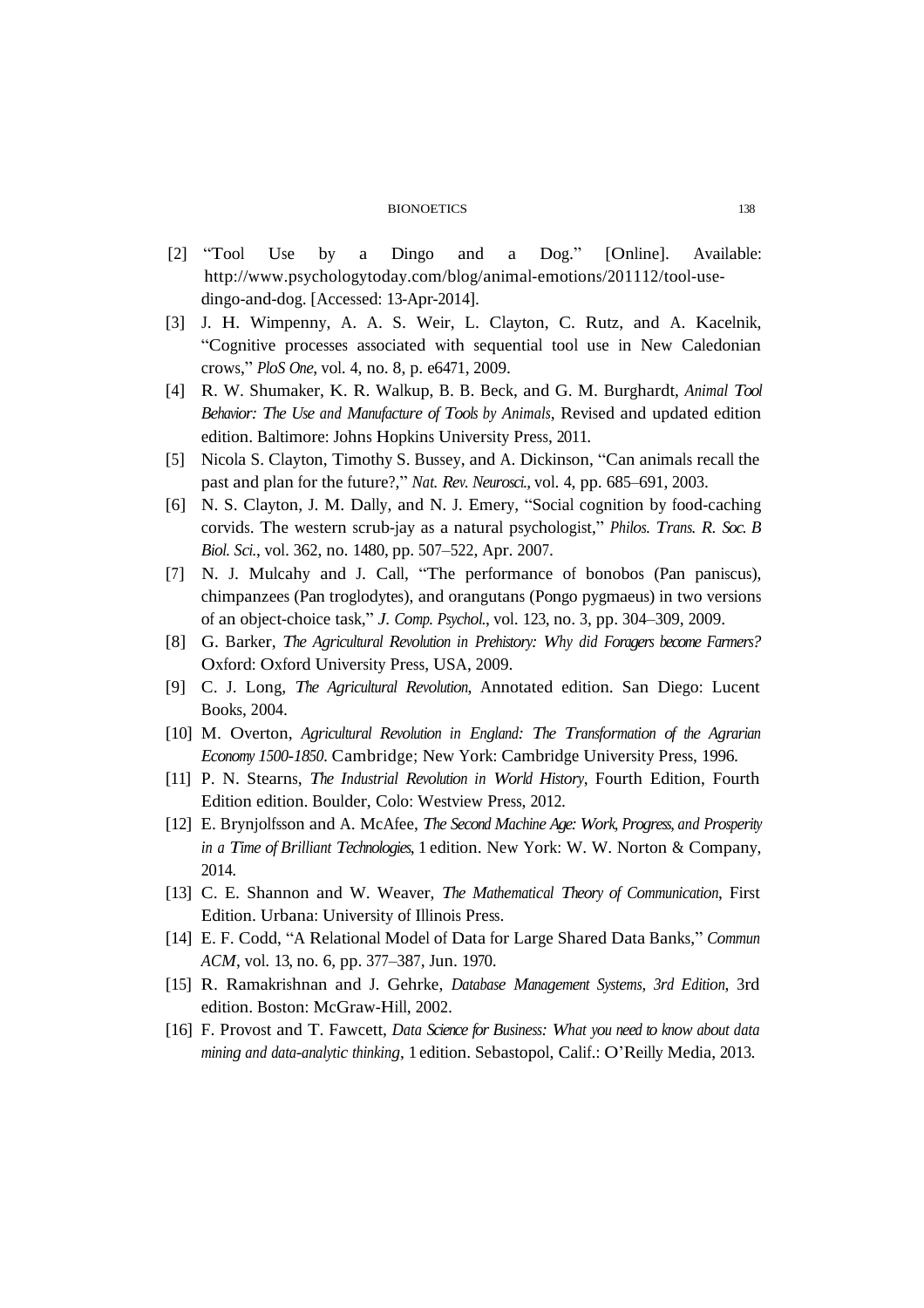- [2] "Tool Use by a Dingo and a Dog." [Online]. Available: http://www.psychologytoday.com/blog/animal-emotions/201112/tool-usedingo-and-dog. [Accessed: 13-Apr-2014].
- [3] J. H. Wimpenny, A. A. S. Weir, L. Clayton, C. Rutz, and A. Kacelnik, "Cognitive processes associated with sequential tool use in New Caledonian crows," *PloS One*, vol. 4, no. 8, p. e6471, 2009.
- [4] R. W. Shumaker, K. R. Walkup, B. B. Beck, and G. M. Burghardt, *Animal Tool Behavior: The Use and Manufacture of Tools by Animals*, Revised and updated edition edition. Baltimore: Johns Hopkins University Press, 2011.
- [5] Nicola S. Clayton, Timothy S. Bussey, and A. Dickinson, "Can animals recall the past and plan for the future?," *Nat. Rev. Neurosci.*, vol. 4, pp. 685–691, 2003.
- [6] N. S. Clayton, J. M. Dally, and N. J. Emery, "Social cognition by food-caching corvids. The western scrub-jay as a natural psychologist," *Philos. Trans. R. Soc. B Biol. Sci.*, vol. 362, no. 1480, pp. 507–522, Apr. 2007.
- [7] N. J. Mulcahy and J. Call, "The performance of bonobos (Pan paniscus), chimpanzees (Pan troglodytes), and orangutans (Pongo pygmaeus) in two versions of an object-choice task," *J. Comp. Psychol.*, vol. 123, no. 3, pp. 304–309, 2009.
- [8] G. Barker, *The Agricultural Revolution in Prehistory: Why did Foragers become Farmers?* Oxford: Oxford University Press, USA, 2009.
- [9] C. J. Long, *The Agricultural Revolution*, Annotated edition. San Diego: Lucent Books, 2004.
- [10] M. Overton, *Agricultural Revolution in England: The Transformation of the Agrarian Economy 1500-1850*. Cambridge; New York: Cambridge University Press, 1996.
- [11] P. N. Stearns, *The Industrial Revolution in World History*, Fourth Edition, Fourth Edition edition. Boulder, Colo: Westview Press, 2012.
- [12] E. Brynjolfsson and A. McAfee, *The Second Machine Age: Work, Progress, and Prosperity in a Time of Brilliant Technologies*, 1 edition. New York: W. W. Norton & Company, 2014.
- [13] C. E. Shannon and W. Weaver, *The Mathematical Theory of Communication*, First Edition. Urbana: University of Illinois Press.
- [14] E. F. Codd, "A Relational Model of Data for Large Shared Data Banks," *Commun ACM*, vol. 13, no. 6, pp. 377–387, Jun. 1970.
- [15] R. Ramakrishnan and J. Gehrke, *Database Management Systems, 3rd Edition*, 3rd edition. Boston: McGraw-Hill, 2002.
- [16] F. Provost and T. Fawcett, *Data Science for Business: What you need to know about data mining and data-analytic thinking*, 1 edition. Sebastopol, Calif.: O'Reilly Media, 2013.